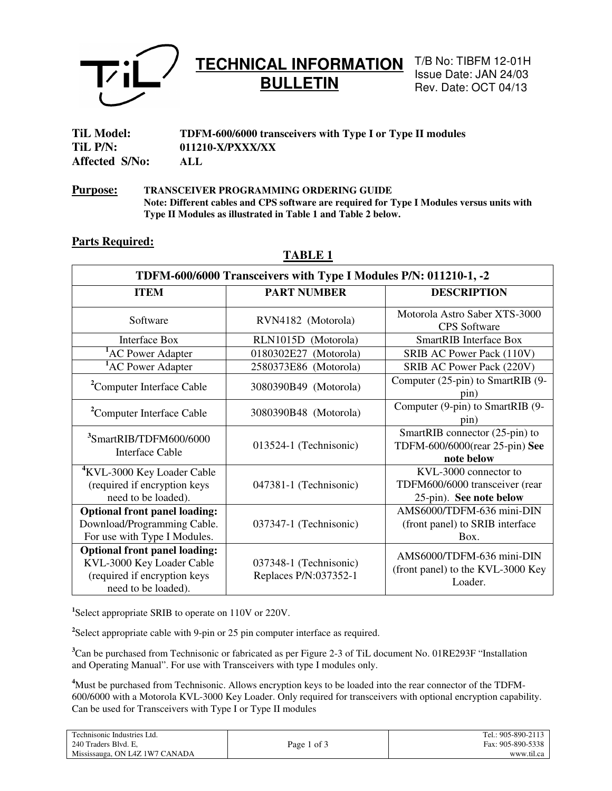

## **TECHNICAL INFORMATION BULLETIN**

T/B No: TIBFM 12-01H Issue Date: JAN 24/03 Rev. Date: OCT 04/13

| <b>TiL Model:</b> | TDFM-600/6000 transceivers with Type I or Type II modules |
|-------------------|-----------------------------------------------------------|
| TiL P/N:          | 011210-X/PXXX/XX                                          |
| Affected S/No:    | ALL                                                       |

**Purpose: TRANSCEIVER PROGRAMMING ORDERING GUIDE Note: Different cables and CPS software are required for Type I Modules versus units with Type II Modules as illustrated in Table 1 and Table 2 below.** 

### **Parts Required:**

### **TABLE 1**

| TDFM-600/6000 Transceivers with Type I Modules P/N: 011210-1, -2                                                         |                                                 |                                                                                    |  |  |
|--------------------------------------------------------------------------------------------------------------------------|-------------------------------------------------|------------------------------------------------------------------------------------|--|--|
| <b>ITEM</b>                                                                                                              | <b>PART NUMBER</b>                              | <b>DESCRIPTION</b>                                                                 |  |  |
| Software                                                                                                                 | RVN4182 (Motorola)                              | Motorola Astro Saber XTS-3000<br><b>CPS</b> Software                               |  |  |
| <b>Interface Box</b>                                                                                                     | RLN1015D (Motorola)                             | <b>SmartRIB</b> Interface Box                                                      |  |  |
| <sup>1</sup> AC Power Adapter                                                                                            | 0180302E27 (Motorola)                           | SRIB AC Power Pack (110V)                                                          |  |  |
| <sup>1</sup> AC Power Adapter                                                                                            | 2580373E86 (Motorola)                           | SRIB AC Power Pack (220V)                                                          |  |  |
| <sup>2</sup> Computer Interface Cable                                                                                    | 3080390B49 (Motorola)                           | Computer (25-pin) to SmartRIB (9-<br>pin)                                          |  |  |
| <sup>2</sup> Computer Interface Cable                                                                                    | 3080390B48 (Motorola)                           | Computer (9-pin) to SmartRIB (9-<br>pin)                                           |  |  |
| <sup>3</sup> SmartRIB/TDFM600/6000<br>Interface Cable                                                                    | 013524-1 (Technisonic)                          | SmartRIB connector $(25-\pi)$ to<br>TDFM-600/6000(rear 25-pin) See<br>note below   |  |  |
| <sup>4</sup> KVL-3000 Key Loader Cable<br>(required if encryption keys<br>need to be loaded).                            | 047381-1 (Technisonic)                          | KVL-3000 connector to<br>TDFM600/6000 transceiver (rear<br>25-pin). See note below |  |  |
| <b>Optional front panel loading:</b><br>Download/Programming Cable.<br>For use with Type I Modules.                      | 037347-1 (Technisonic)                          | AMS6000/TDFM-636 mini-DIN<br>(front panel) to SRIB interface<br>Box.               |  |  |
| <b>Optional front panel loading:</b><br>KVL-3000 Key Loader Cable<br>(required if encryption keys<br>need to be loaded). | 037348-1 (Technisonic)<br>Replaces P/N:037352-1 | AMS6000/TDFM-636 mini-DIN<br>(front panel) to the KVL-3000 Key<br>Loader.          |  |  |

**1** Select appropriate SRIB to operate on 110V or 220V.

<sup>2</sup>Select appropriate cable with 9-pin or 25 pin computer interface as required.

**<sup>3</sup>**Can be purchased from Technisonic or fabricated as per Figure 2-3 of TiL document No. 01RE293F "Installation and Operating Manual". For use with Transceivers with type I modules only.

**<sup>4</sup>**Must be purchased from Technisonic. Allows encryption keys to be loaded into the rear connector of the TDFM-600/6000 with a Motorola KVL-3000 Key Loader. Only required for transceivers with optional encryption capability. Can be used for Transceivers with Type I or Type II modules

| Technisonic Industries Ltd.    |             | Tel.: 905-890-2113 |
|--------------------------------|-------------|--------------------|
| 240 Traders Blvd. E,           | Page 1 of 3 | Fax: 905-890-5338  |
| Mississauga, ON L4Z 1W7 CANADA |             | www.til.ca         |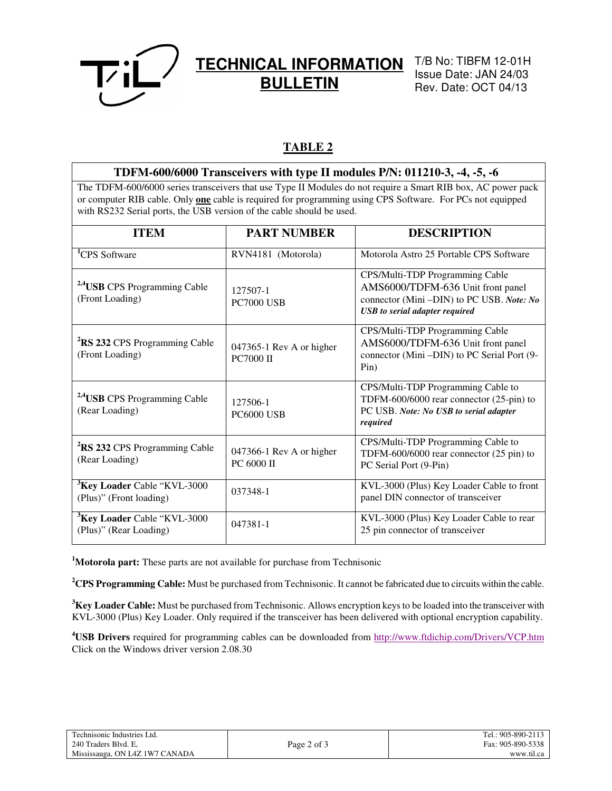

## **TECHNICAL INFORMATION BULLETIN**

T/B No: TIBFM 12-01H Issue Date: JAN 24/03 Rev. Date: OCT 04/13

### **TABLE 2**

## **TDFM-600/6000 Transceivers with type II modules P/N: 011210-3, -4, -5, -6**

The TDFM-600/6000 series transceivers that use Type II Modules do not require a Smart RIB box, AC power pack or computer RIB cable. Only **one** cable is required for programming using CPS Software. For PCs not equipped with RS232 Serial ports, the USB version of the cable should be used.

| <b>ITEM</b>                                                        | <b>PART NUMBER</b>                           | <b>DESCRIPTION</b>                                                                                                                                        |
|--------------------------------------------------------------------|----------------------------------------------|-----------------------------------------------------------------------------------------------------------------------------------------------------------|
| <sup>1</sup> CPS Software                                          | RVN4181 (Motorola)                           | Motorola Astro 25 Portable CPS Software                                                                                                                   |
| <sup>2,4</sup> USB CPS Programming Cable<br>(Front Loading)        | 127507-1<br><b>PC7000 USB</b>                | CPS/Multi-TDP Programming Cable<br>AMS6000/TDFM-636 Unit front panel<br>connector (Mini-DIN) to PC USB. Note: No<br><b>USB</b> to serial adapter required |
| <sup>2</sup> RS 232 CPS Programming Cable<br>(Front Loading)       | 047365-1 Rev A or higher<br><b>PC7000 II</b> | CPS/Multi-TDP Programming Cable<br>AMS6000/TDFM-636 Unit front panel<br>connector (Mini -DIN) to PC Serial Port (9-<br>Pin)                               |
| <sup>2,4</sup> USB CPS Programming Cable<br>(Rear Loading)         | 127506-1<br><b>PC6000 USB</b>                | CPS/Multi-TDP Programming Cable to<br>TDFM-600/6000 rear connector (25-pin) to<br>PC USB. Note: No USB to serial adapter<br>required                      |
| <sup>2</sup> RS 232 CPS Programming Cable<br>(Rear Loading)        | 047366-1 Rev A or higher<br>PC 6000 II       | CPS/Multi-TDP Programming Cable to<br>TDFM-600/6000 rear connector (25 pin) to<br>PC Serial Port (9-Pin)                                                  |
| <sup>3</sup> Key Loader Cable "KVL-3000<br>(Plus)" (Front loading) | 037348-1                                     | KVL-3000 (Plus) Key Loader Cable to front<br>panel DIN connector of transceiver                                                                           |
| <sup>3</sup> Key Loader Cable "KVL-3000<br>(Plus)" (Rear Loading)  | 047381-1                                     | KVL-3000 (Plus) Key Loader Cable to rear<br>25 pin connector of transceiver                                                                               |

**<sup>1</sup>Motorola part:** These parts are not available for purchase from Technisonic

**<sup>2</sup>CPS Programming Cable:** Must be purchased from Technisonic. It cannot be fabricated due to circuits within the cable.

**<sup>3</sup>Key Loader Cable:** Must be purchased from Technisonic. Allows encryption keys to be loaded into the transceiver with KVL-3000 (Plus) Key Loader. Only required if the transceiver has been delivered with optional encryption capability.

**<sup>4</sup>USB Drivers** required for programming cables can be downloaded from http://www.ftdichip.com/Drivers/VCP.htm Click on the Windows driver version 2.08.30